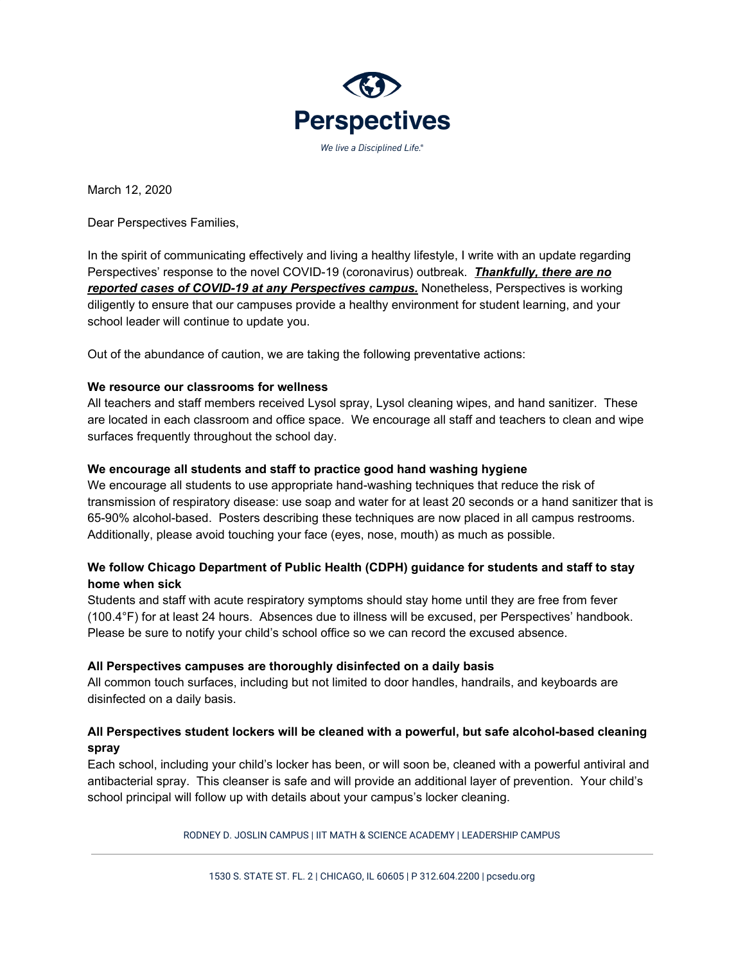

March 12, 2020

Dear Perspectives Families,

In the spirit of communicating effectively and living a healthy lifestyle, I write with an update regarding Perspectives' response to the novel COVID-19 (coronavirus) outbreak. *Thankfully, there are no reported cases of COVID-19 at any Perspectives campus.* Nonetheless, Perspectives is working diligently to ensure that our campuses provide a healthy environment for student learning, and your school leader will continue to update you.

Out of the abundance of caution, we are taking the following preventative actions:

#### **We resource our classrooms for wellness**

All teachers and staff members received Lysol spray, Lysol cleaning wipes, and hand sanitizer. These are located in each classroom and office space. We encourage all staff and teachers to clean and wipe surfaces frequently throughout the school day.

### **We encourage all students and staff to practice good hand washing hygiene**

We encourage all students to use appropriate hand-washing techniques that reduce the risk of transmission of respiratory disease: use soap and water for at least 20 seconds or a hand sanitizer that is 65-90% alcohol-based. Posters describing these techniques are now placed in all campus restrooms. Additionally, please avoid touching your face (eyes, nose, mouth) as much as possible.

# **We follow Chicago Department of Public Health (CDPH) guidance for students and staff to stay home when sick**

Students and staff with acute respiratory symptoms should stay home until they are free from fever (100.4°F) for at least 24 hours. Absences due to illness will be excused, per Perspectives' handbook. Please be sure to notify your child's school office so we can record the excused absence.

#### **All Perspectives campuses are thoroughly disinfected on a daily basis**

All common touch surfaces, including but not limited to door handles, handrails, and keyboards are disinfected on a daily basis.

# **All Perspectives student lockers will be cleaned with a powerful, but safe alcohol-based cleaning spray**

Each school, including your child's locker has been, or will soon be, cleaned with a powerful antiviral and antibacterial spray. This cleanser is safe and will provide an additional layer of prevention. Your child's school principal will follow up with details about your campus's locker cleaning.

RODNEY D. JOSLIN CAMPUS | IIT MATH & SCIENCE ACADEMY | LEADERSHIP CAMPUS